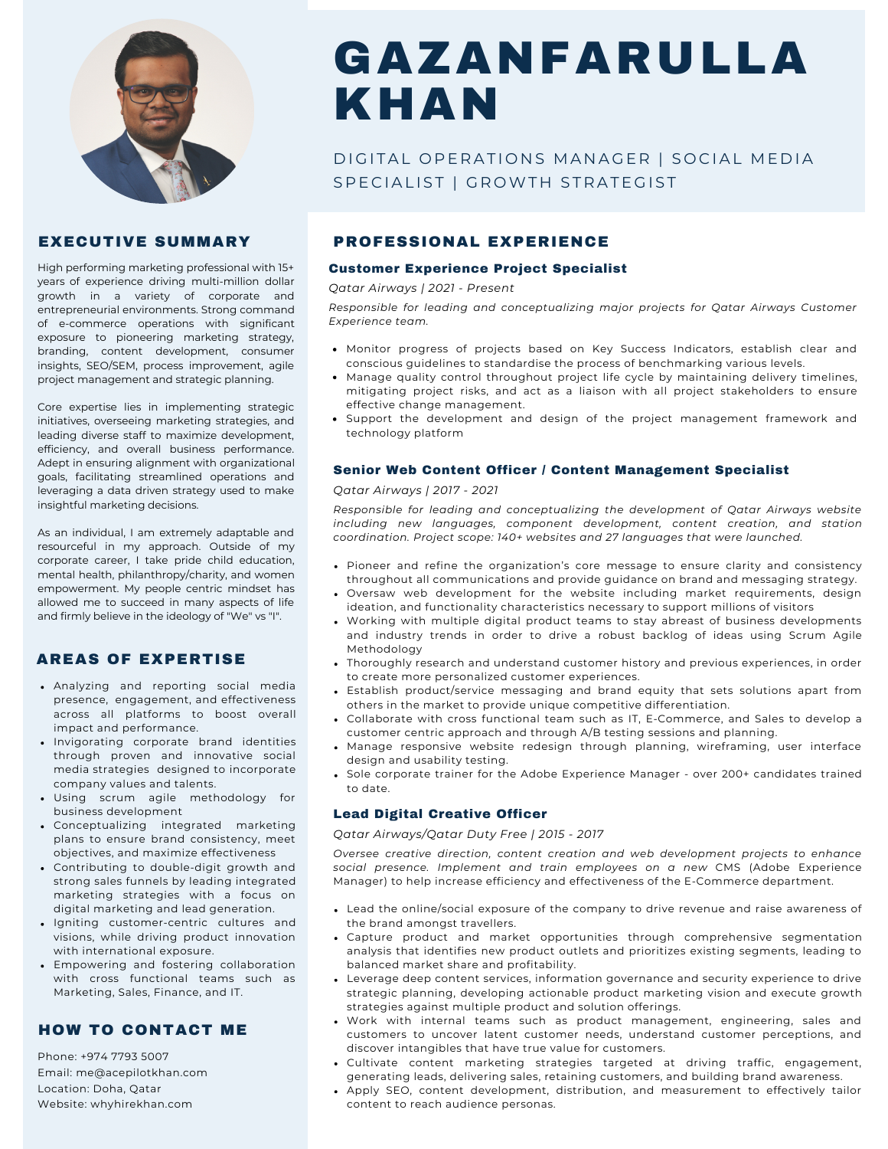

## EXECUTIVE SUMMARY

High performing marketing professional with 15+ years of experience driving multi-million dollar growth in a variety of corporate and entrepreneurial environments. Strong command of e-commerce operations with significant exposure to pioneering marketing strategy, branding, content development, consumer insights, SEO/SEM, process improvement, agile project management and strategic planning.

Core expertise lies in implementing strategic initiatives, overseeing marketing strategies, and leading diverse staff to maximize development, efficiency, and overall business performance. Adept in ensuring alignment with organizational goals, facilitating streamlined operations and leveraging a data driven strategy used to make insightful marketing decisions.

As an individual, I am extremely adaptable and resourceful in my approach. Outside of my corporate career, I take pride child education, mental health, philanthropy/charity, and women empowerment. My people centric mindset has allowed me to succeed in many aspects of life and firmly believe in the ideology of "We" vs "I".

## AREAS OF EXPERTISE

- Analyzing and reporting social media presence, engagement, and effectiveness across all platforms to boost overall impact and performance.
- . Invigorating corporate brand identities through proven and innovative social media strategies designed to incorporate company values and talents.
- Using scrum agile methodology for business development
- Conceptualizing integrated marketing plans to ensure brand consistency, meet objectives, and maximize effectiveness
- Contributing to double-digit growth and strong sales funnels by leading integrated marketing strategies with a focus on digital marketing and lead generation.
- Igniting customer-centric cultures and visions, while driving product innovation with international exposure.
- Empowering and fostering collaboration with cross functional teams such as Marketing, Sales, Finance, and IT.

## HOW TO CONTACT ME

Phone: +974 7793 5007 Email: me@acepilotkhan.com Location: Doha, Qatar Website: whyhirekhan.com

# GAZANFARULLA KHAN

# DIGITAL OPERATIONS MANAGER | SOCIAL MEDIA SPECIALIST | GROWTH STRATEGIST

## PROFESSIONAL EXPERIENCE

#### Customer Experience Project Specialist

*Qatar Airways | 2021 - Present*

*Responsible for leading and conceptualizing major projects for Qatar Airways Customer Experience team.*

- Monitor progress of projects based on Key Success Indicators, establish clear and conscious guidelines to standardise the process of benchmarking various levels.
- Manage quality control throughout project life cycle by maintaining delivery timelines, mitigating project risks, and act as a liaison with all project stakeholders to ensure effective change management.
- Support the development and design of the project management framework and technology platform

## Senior Web Content Officer / Content Management Specialist

### *Qatar Airways | 2017 - 2021*

*Responsible for leading and conceptualizing the development of Qatar Airways website including new languages, component development, content creation, and station coordination. Project scope: 140+ websites and 27 languages that were launched.*

- Pioneer and refine the organization's core message to ensure clarity and consistency throughout all communications and provide guidance on brand and messaging strategy.
- Oversaw web development for the website including market requirements, design ideation, and functionality characteristics necessary to support millions of visitors
- Working with multiple digital product teams to stay abreast of business developments and industry trends in order to drive a robust backlog of ideas using Scrum Agile Methodology
- Thoroughly research and understand customer history and previous experiences, in order to create more personalized customer experiences.
- Establish product/service messaging and brand equity that sets solutions apart from  $\bullet$ others in the market to provide unique competitive differentiation.
- Collaborate with cross functional team such as IT, E-Commerce, and Sales to develop a customer centric approach and through A/B testing sessions and planning.
- Manage responsive website redesign through planning, wireframing, user interface design and usability testing.
- Sole corporate trainer for the Adobe Experience Manager over 200+ candidates trained to date.

## Lead Digital Creative Officer

#### *Qatar Airways/Qatar Duty Free | 2015 - 2017*

*Oversee creative direction, content creation and web development projects to enhance social presence. Implement and train employees on a new* CMS (Adobe Experience Manager) to help increase efficiency and effectiveness of the E-Commerce department.

- Lead the online/social exposure of the company to drive revenue and raise awareness of the brand amongst travellers.
- Capture product and market opportunities through comprehensive segmentation analysis that identifies new product outlets and prioritizes existing segments, leading to balanced market share and profitability.
- Leverage deep content services, information governance and security experience to drive strategic planning, developing actionable product marketing vision and execute growth strategies against multiple product and solution offerings.
- Work with internal teams such as product management, engineering, sales and customers to uncover latent customer needs, understand customer perceptions, and discover intangibles that have true value for customers.
- Cultivate content marketing strategies targeted at driving traffic, engagement, generating leads, delivering sales, retaining customers, and building brand awareness.
- Apply SEO, content development, distribution, and measurement to effectively tailor content to reach audience personas.